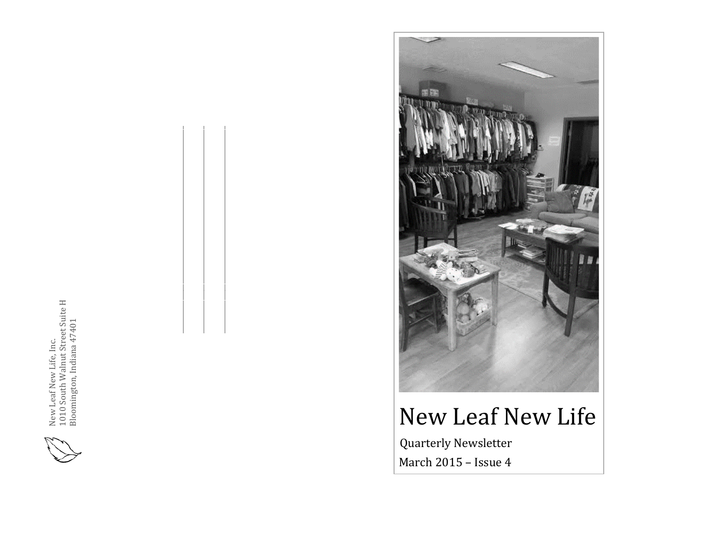

\_\_\_\_\_\_\_\_\_\_\_\_\_\_\_\_\_\_\_\_\_\_\_\_\_\_\_\_\_\_\_\_\_\_\_\_\_\_\_\_\_\_\_\_\_\_\_\_\_\_\_\_\_\_\_\_\_\_\_\_\_\_\_

\_\_\_\_\_\_\_\_\_\_\_\_\_\_\_\_\_\_\_\_\_\_\_\_\_\_\_\_\_\_\_\_\_\_\_\_\_\_\_\_\_\_\_\_\_\_\_\_\_\_\_\_\_\_\_\_\_\_\_\_\_\_\_





# New Leaf New Life

 Quarterly Newsletter March 2015 – Issue 4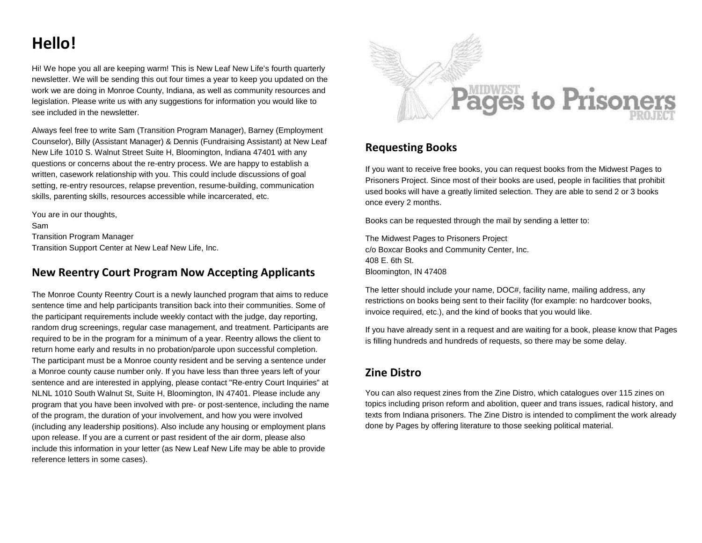## **Hello!**

Hi! We hope you all are keeping warm! This is New Leaf New Life's fourth quarterly newsletter. We will be sending this out four times a year to keep you updated on the work we are doing in Monroe County, Indiana, as well as community resources and legislation. Please write us with any suggestions for information you would like to see included in the newsletter.

Always feel free to write Sam (Transition Program Manager), Barney (Employment Counselor), Billy (Assistant Manager) & Dennis (Fundraising Assistant) at New Leaf New Life 1010 S. Walnut Street Suite H, Bloomington, Indiana 47401 with any questions or concerns about the re-entry process. We are happy to establish a written, casework relationship with you. This could include discussions of goal setting, re-entry resources, relapse prevention, resume-building, communication skills, parenting skills, resources accessible while incarcerated, etc.

You are in our thoughts, Sam Transition Program Manager Transition Support Center at New Leaf New Life, Inc.

#### **New Reentry Court Program Now Accepting Applicants**

The Monroe County Reentry Court is a newly launched program that aims to reduce sentence time and help participants transition back into their communities. Some of the participant requirements include weekly contact with the judge, day reporting, random drug screenings, regular case management, and treatment. Participants are required to be in the program for a minimum of a year. Reentry allows the client to return home early and results in no probation/parole upon successful completion. The participant must be a Monroe county resident and be serving a sentence under a Monroe county cause number only. If you have less than three years left of your sentence and are interested in applying, please contact "Re-entry Court Inquiries" at NLNL 1010 South Walnut St, Suite H, Bloomington, IN 47401. Please include any program that you have been involved with pre- or post-sentence, including the name of the program, the duration of your involvement, and how you were involved (including any leadership positions). Also include any housing or employment plans upon release. If you are a current or past resident of the air dorm, please also include this information in your letter (as New Leaf New Life may be able to provide reference letters in some cases).



#### **Requesting Books**

If you want to receive free books, you can request books from the Midwest Pages to Prisoners Project. Since most of their books are used, people in facilities that prohibit used books will have a greatly limited selection. They are able to send 2 or 3 books once every 2 months.

Books can be requested through the mail by sending a letter to:

The Midwest Pages to Prisoners Project c/o Boxcar Books and Community Center, Inc. 408 E. 6th St. Bloomington, IN 47408

The letter should include your name, DOC#, facility name, mailing address, any restrictions on books being sent to their facility (for example: no hardcover books, invoice required, etc.), and the kind of books that you would like.

If you have already sent in a request and are waiting for a book, please know that Pages is filling hundreds and hundreds of requests, so there may be some delay.

#### **Zine Distro**

You can also request zines from the Zine Distro, which catalogues over 115 zines on topics including prison reform and abolition, queer and trans issues, radical history, and texts from Indiana prisoners. The Zine Distro is intended to compliment the work already done by Pages by offering literature to those seeking political material.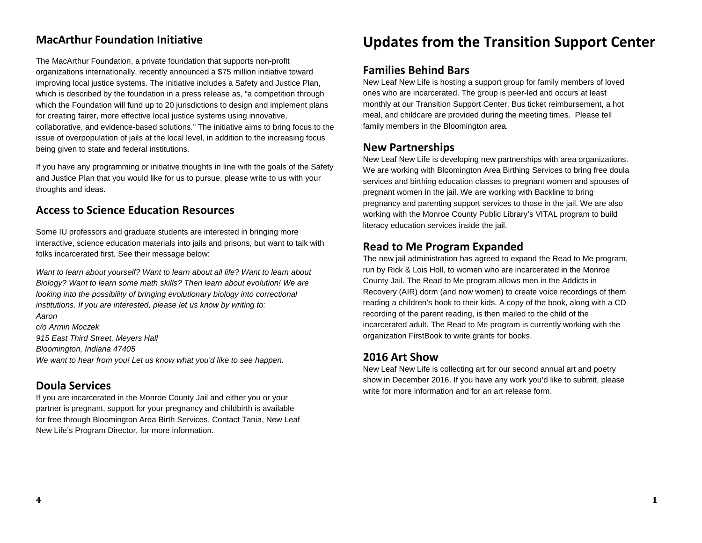#### **MacArthur Foundation Initiative**

The MacArthur Foundation, a private foundation that supports non-profit organizations internationally, recently announced a \$75 million initiative toward improving local justice systems. The initiative includes a Safety and Justice Plan, which is described by the foundation in a press release as, "a competition through which the Foundation will fund up to 20 jurisdictions to design and implement plans for creating fairer, more effective local justice systems using innovative, collaborative, and evidence-based solutions." The initiative aims to bring focus to the issue of overpopulation of jails at the local level, in addition to the increasing focus being given to state and federal institutions.

If you have any programming or initiative thoughts in line with the goals of the Safety and Justice Plan that you would like for us to pursue, please write to us with your thoughts and ideas.

#### **Access to Science Education Resources**

Some IU professors and graduate students are interested in bringing more interactive, science education materials into jails and prisons, but want to talk with folks incarcerated first. See their message below:

*Want to learn about yourself? Want to learn about all life? Want to learn about Biology? Want to learn some math skills? Then learn about evolution! We are looking into the possibility of bringing evolutionary biology into correctional institutions. If you are interested, please let us know by writing to:*

*Aaron c/o Armin Moczek 915 East Third Street, Meyers Hall Bloomington, Indiana 47405 We want to hear from you! Let us know what you'd like to see happen.* 

#### **Doula Services**

If you are incarcerated in the Monroe County Jail and either you or your partner is pregnant, support for your pregnancy and childbirth is available for free through Bloomington Area Birth Services. Contact Tania, New Leaf New Life's Program Director, for more information.

### **Updates from the Transition Support Center**

#### **Families Behind Bars**

New Leaf New Life is hosting a support group for family members of loved ones who are incarcerated. The group is peer-led and occurs at least monthly at our Transition Support Center. Bus ticket reimbursement, a hot meal, and childcare are provided during the meeting times. Please tell family members in the Bloomington area.

#### **New Partnerships**

New Leaf New Life is developing new partnerships with area organizations. We are working with Bloomington Area Birthing Services to bring free doula services and birthing education classes to pregnant women and spouses of pregnant women in the jail. We are working with Backline to bring pregnancy and parenting support services to those in the jail. We are also working with the Monroe County Public Library's VITAL program to build literacy education services inside the jail.

#### **Read to Me Program Expanded**

The new jail administration has agreed to expand the Read to Me program, run by Rick & Lois Holl, to women who are incarcerated in the Monroe County Jail. The Read to Me program allows men in the Addicts in Recovery (AIR) dorm (and now women) to create voice recordings of them reading a children's book to their kids. A copy of the book, along with a CD recording of the parent reading, is then mailed to the child of the incarcerated adult. The Read to Me program is currently working with the organization FirstBook to write grants for books.

#### **2016 Art Show**

New Leaf New Life is collecting art for our second annual art and poetry show in December 2016. If you have any work you'd like to submit, please write for more information and for an art release form.